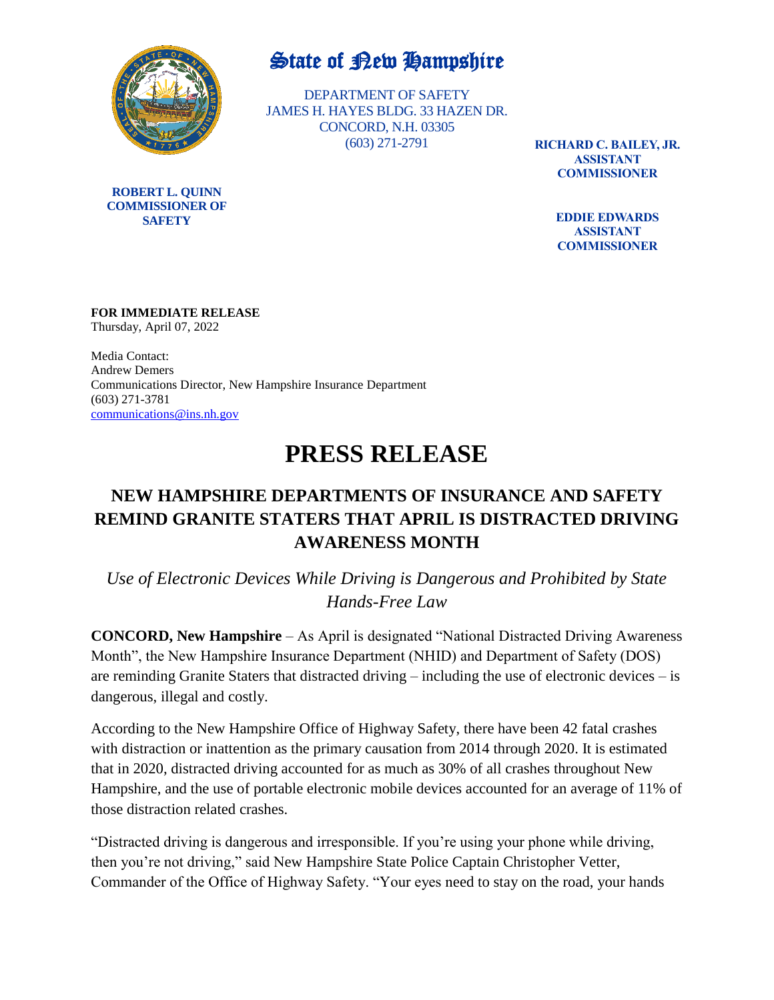

**ROBERT L. QUINN COMMISSIONER OF SAFETY**

## State of Rew Hampshire

DEPARTMENT OF SAFETY JAMES H. HAYES BLDG. 33 HAZEN DR. CONCORD, N.H. 03305 (603) 271-2791

**RICHARD C. BAILEY, JR. ASSISTANT COMMISSIONER**

> **EDDIE EDWARDS ASSISTANT COMMISSIONER**

### **FOR IMMEDIATE RELEASE**

Thursday, April 07, 2022

Media Contact: Andrew Demers Communications Director, New Hampshire Insurance Department (603) 271-3781 [communications@ins.nh.gov](mailto:communications@ins.nh.gov)

# **PRESS RELEASE**

### **NEW HAMPSHIRE DEPARTMENTS OF INSURANCE AND SAFETY REMIND GRANITE STATERS THAT APRIL IS DISTRACTED DRIVING AWARENESS MONTH**

*Use of Electronic Devices While Driving is Dangerous and Prohibited by State Hands-Free Law*

**CONCORD, New Hampshire** – As April is designated "National Distracted Driving Awareness Month", the New Hampshire Insurance Department (NHID) and Department of Safety (DOS) are reminding Granite Staters that distracted driving – including the use of electronic devices – is dangerous, illegal and costly.

According to the New Hampshire Office of Highway Safety, there have been 42 fatal crashes with distraction or inattention as the primary causation from 2014 through 2020. It is estimated that in 2020, distracted driving accounted for as much as 30% of all crashes throughout New Hampshire, and the use of portable electronic mobile devices accounted for an average of 11% of those distraction related crashes.

"Distracted driving is dangerous and irresponsible. If you're using your phone while driving, then you're not driving," said New Hampshire State Police Captain Christopher Vetter, Commander of the Office of Highway Safety. "Your eyes need to stay on the road, your hands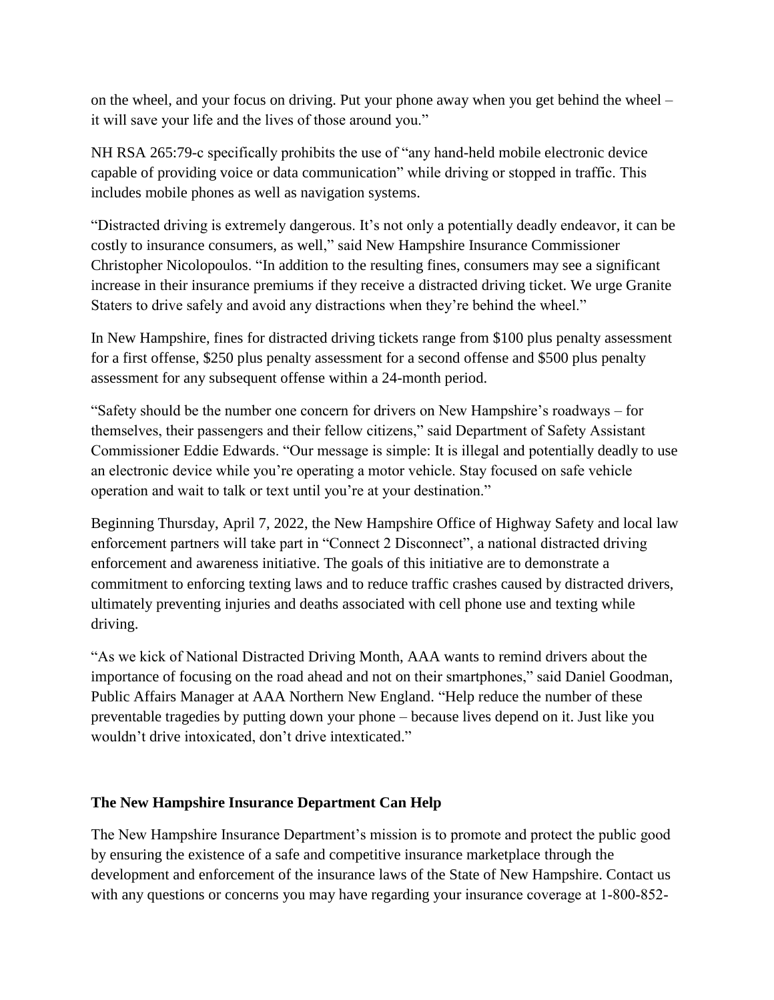on the wheel, and your focus on driving. Put your phone away when you get behind the wheel – it will save your life and the lives of those around you."

NH RSA 265:79-c specifically prohibits the use of "any hand-held mobile electronic device capable of providing voice or data communication" while driving or stopped in traffic. This includes mobile phones as well as navigation systems.

"Distracted driving is extremely dangerous. It's not only a potentially deadly endeavor, it can be costly to insurance consumers, as well," said New Hampshire Insurance Commissioner Christopher Nicolopoulos. "In addition to the resulting fines, consumers may see a significant increase in their insurance premiums if they receive a distracted driving ticket. We urge Granite Staters to drive safely and avoid any distractions when they're behind the wheel."

In New Hampshire, fines for distracted driving tickets range from \$100 plus penalty assessment for a first offense, \$250 plus penalty assessment for a second offense and \$500 plus penalty assessment for any subsequent offense within a 24-month period.

"Safety should be the number one concern for drivers on New Hampshire's roadways – for themselves, their passengers and their fellow citizens," said Department of Safety Assistant Commissioner Eddie Edwards. "Our message is simple: It is illegal and potentially deadly to use an electronic device while you're operating a motor vehicle. Stay focused on safe vehicle operation and wait to talk or text until you're at your destination."

Beginning Thursday, April 7, 2022, the New Hampshire Office of Highway Safety and local law enforcement partners will take part in "Connect 2 Disconnect", a national distracted driving enforcement and awareness initiative. The goals of this initiative are to demonstrate a commitment to enforcing texting laws and to reduce traffic crashes caused by distracted drivers, ultimately preventing injuries and deaths associated with cell phone use and texting while driving.

"As we kick of National Distracted Driving Month, AAA wants to remind drivers about the importance of focusing on the road ahead and not on their smartphones," said Daniel Goodman, Public Affairs Manager at AAA Northern New England. "Help reduce the number of these preventable tragedies by putting down your phone – because lives depend on it. Just like you wouldn't drive intoxicated, don't drive intexticated."

#### **The New Hampshire Insurance Department Can Help**

The New Hampshire Insurance Department's mission is to promote and protect the public good by ensuring the existence of a safe and competitive insurance marketplace through the development and enforcement of the insurance laws of the State of New Hampshire. Contact us with any questions or concerns you may have regarding your insurance coverage at 1-800-852